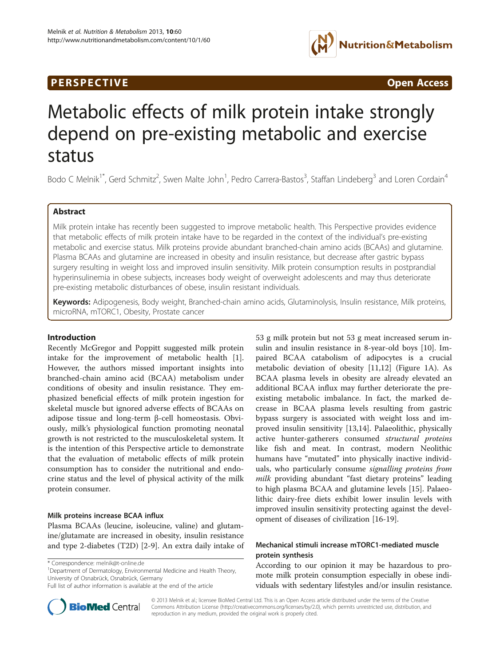## **PERSPECTIVE CONSUMING ACCESS**



# Metabolic effects of milk protein intake strongly depend on pre-existing metabolic and exercise status

Bodo C Melnik<sup>1\*</sup>, Gerd Schmitz<sup>2</sup>, Swen Malte John<sup>1</sup>, Pedro Carrera-Bastos<sup>3</sup>, Staffan Lindeberg<sup>3</sup> and Loren Cordain<sup>4</sup>

## Abstract

Milk protein intake has recently been suggested to improve metabolic health. This Perspective provides evidence that metabolic effects of milk protein intake have to be regarded in the context of the individual's pre-existing metabolic and exercise status. Milk proteins provide abundant branched-chain amino acids (BCAAs) and glutamine. Plasma BCAAs and glutamine are increased in obesity and insulin resistance, but decrease after gastric bypass surgery resulting in weight loss and improved insulin sensitivity. Milk protein consumption results in postprandial hyperinsulinemia in obese subjects, increases body weight of overweight adolescents and may thus deteriorate pre-existing metabolic disturbances of obese, insulin resistant individuals.

Keywords: Adipogenesis, Body weight, Branched-chain amino acids, Glutaminolysis, Insulin resistance, Milk proteins, microRNA, mTORC1, Obesity, Prostate cancer

## Introduction

Recently McGregor and Poppitt suggested milk protein intake for the improvement of metabolic health [\[1](#page-3-0)]. However, the authors missed important insights into branched-chain amino acid (BCAA) metabolism under conditions of obesity and insulin resistance. They emphasized beneficial effects of milk protein ingestion for skeletal muscle but ignored adverse effects of BCAAs on adipose tissue and long-term β-cell homeostasis. Obviously, milk's physiological function promoting neonatal growth is not restricted to the musculoskeletal system. It is the intention of this Perspective article to demonstrate that the evaluation of metabolic effects of milk protein consumption has to consider the nutritional and endocrine status and the level of physical activity of the milk protein consumer.

## Milk proteins increase BCAA influx

Plasma BCAAs (leucine, isoleucine, valine) and glutamine/glutamate are increased in obesity, insulin resistance and type 2-diabetes (T2D) [\[2](#page-3-0)-[9\]](#page-3-0). An extra daily intake of

\* Correspondence: [melnik@t-online.de](mailto:melnik@t-online.de) <sup>1</sup>

<sup>1</sup>Department of Dermatology, Environmental Medicine and Health Theory, University of Osnabrück, Osnabrück, Germany

Full list of author information is available at the end of the article



53 g milk protein but not 53 g meat increased serum insulin and insulin resistance in 8-year-old boys [[10](#page-3-0)]. Impaired BCAA catabolism of adipocytes is a crucial metabolic deviation of obesity [[11,12](#page-3-0)] (Figure [1](#page-1-0)A). As BCAA plasma levels in obesity are already elevated an additional BCAA influx may further deteriorate the preexisting metabolic imbalance. In fact, the marked decrease in BCAA plasma levels resulting from gastric bypass surgery is associated with weight loss and improved insulin sensitivity [\[13,14\]](#page-3-0). Palaeolithic, physically active hunter-gatherers consumed structural proteins like fish and meat. In contrast, modern Neolithic humans have "mutated" into physically inactive individuals, who particularly consume signalling proteins from milk providing abundant "fast dietary proteins" leading to high plasma BCAA and glutamine levels [\[15](#page-3-0)]. Palaeolithic dairy-free diets exhibit lower insulin levels with improved insulin sensitivity protecting against the development of diseases of civilization [[16](#page-3-0)-[19\]](#page-3-0).

## Mechanical stimuli increase mTORC1-mediated muscle protein synthesis

According to our opinion it may be hazardous to promote milk protein consumption especially in obese individuals with sedentary lifestyles and/or insulin resistance.

© 2013 Melnik et al.; licensee BioMed Central Ltd. This is an Open Access article distributed under the terms of the Creative Commons Attribution License [\(http://creativecommons.org/licenses/by/2.0\)](http://creativecommons.org/licenses/by/2.0), which permits unrestricted use, distribution, and reproduction in any medium, provided the original work is properly cited.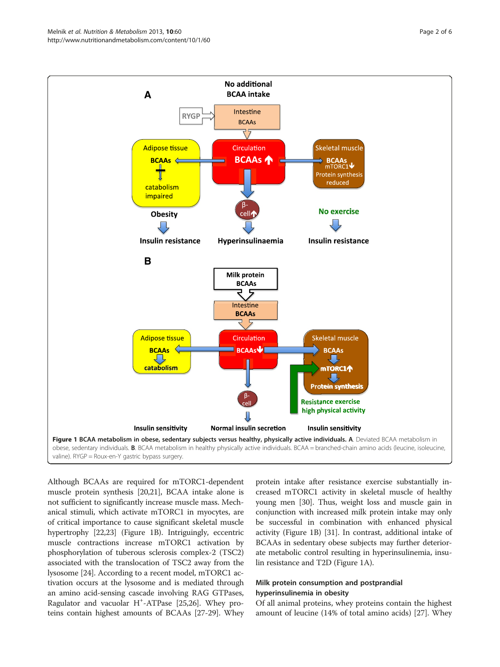<span id="page-1-0"></span>

Although BCAAs are required for mTORC1-dependent muscle protein synthesis [[20,21](#page-3-0)], BCAA intake alone is not sufficient to significantly increase muscle mass. Mechanical stimuli, which activate mTORC1 in myocytes, are of critical importance to cause significant skeletal muscle hypertrophy [\[22,23\]](#page-3-0) (Figure 1B). Intriguingly, eccentric muscle contractions increase mTORC1 activation by phosphorylation of tuberous sclerosis complex-2 (TSC2) associated with the translocation of TSC2 away from the lysosome [\[24\]](#page-3-0). According to a recent model, mTORC1 activation occurs at the lysosome and is mediated through an amino acid-sensing cascade involving RAG GTPases, Ragulator and vacuolar H<sup>+</sup>-ATPase [[25,26](#page-3-0)]. Whey proteins contain highest amounts of BCAAs [[27](#page-3-0)-[29](#page-3-0)]. Whey

protein intake after resistance exercise substantially increased mTORC1 activity in skeletal muscle of healthy young men [\[30](#page-3-0)]. Thus, weight loss and muscle gain in conjunction with increased milk protein intake may only be successful in combination with enhanced physical activity (Figure 1B) [[31](#page-3-0)]. In contrast, additional intake of BCAAs in sedentary obese subjects may further deteriorate metabolic control resulting in hyperinsulinemia, insulin resistance and T2D (Figure 1A).

## Milk protein consumption and postprandial hyperinsulinemia in obesity

Of all animal proteins, whey proteins contain the highest amount of leucine (14% of total amino acids) [\[27](#page-3-0)]. Whey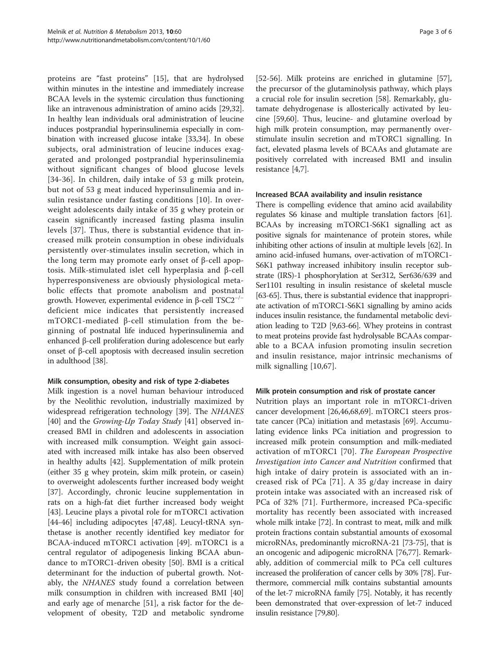proteins are "fast proteins" [[15\]](#page-3-0), that are hydrolysed within minutes in the intestine and immediately increase BCAA levels in the systemic circulation thus functioning like an intravenous administration of amino acids [\[29,](#page-3-0)[32](#page-4-0)]. In healthy lean individuals oral administration of leucine induces postprandial hyperinsulinemia especially in combination with increased glucose intake [\[33,34](#page-4-0)]. In obese subjects, oral administration of leucine induces exaggerated and prolonged postprandial hyperinsulinemia without significant changes of blood glucose levels [[34](#page-4-0)-[36\]](#page-4-0). In children, daily intake of 53 g milk protein, but not of 53 g meat induced hyperinsulinemia and insulin resistance under fasting conditions [[10](#page-3-0)]. In overweight adolescents daily intake of 35 g whey protein or casein significantly increased fasting plasma insulin levels [[37\]](#page-4-0). Thus, there is substantial evidence that increased milk protein consumption in obese individuals persistently over-stimulates insulin secretion, which in the long term may promote early onset of β-cell apoptosis. Milk-stimulated islet cell hyperplasia and β-cell hyperresponsiveness are obviously physiological metabolic effects that promote anabolism and postnatal growth. However, experimental evidence in β-cell  $TSC2^{-/-}$ deficient mice indicates that persistently increased mTORC1-mediated β-cell stimulation from the beginning of postnatal life induced hyperinsulinemia and enhanced β-cell proliferation during adolescence but early onset of β-cell apoptosis with decreased insulin secretion in adulthood [\[38](#page-4-0)].

## Milk consumption, obesity and risk of type 2-diabetes

Milk ingestion is a novel human behaviour introduced by the Neolithic revolution, industrially maximized by widespread refrigeration technology [[39](#page-4-0)]. The NHANES [[40\]](#page-4-0) and the Growing-Up Today Study [[41\]](#page-4-0) observed increased BMI in children and adolescents in association with increased milk consumption. Weight gain associated with increased milk intake has also been observed in healthy adults [\[42\]](#page-4-0). Supplementation of milk protein (either 35 g whey protein, skim milk protein, or casein) to overweight adolescents further increased body weight [[37\]](#page-4-0). Accordingly, chronic leucine supplementation in rats on a high-fat diet further increased body weight [[43\]](#page-4-0). Leucine plays a pivotal role for mTORC1 activation [[44-46](#page-4-0)] including adipocytes [[47,48](#page-4-0)]. Leucyl-tRNA synthetase is another recently identified key mediator for BCAA-induced mTORC1 activation [[49](#page-4-0)]. mTORC1 is a central regulator of adipogenesis linking BCAA abundance to mTORC1-driven obesity [\[50](#page-4-0)]. BMI is a critical determinant for the induction of pubertal growth. Notably, the NHANES study found a correlation between milk consumption in children with increased BMI [[40](#page-4-0)] and early age of menarche [[51](#page-4-0)], a risk factor for the development of obesity, T2D and metabolic syndrome

[[52-56](#page-4-0)]. Milk proteins are enriched in glutamine [\[57](#page-4-0)], the precursor of the glutaminolysis pathway, which plays a crucial role for insulin secretion [[58\]](#page-4-0). Remarkably, glutamate dehydrogenase is allosterically activated by leucine [\[59,60\]](#page-4-0). Thus, leucine- and glutamine overload by high milk protein consumption, may permanently overstimulate insulin secretion and mTORC1 signalling. In fact, elevated plasma levels of BCAAs and glutamate are positively correlated with increased BMI and insulin resistance [[4,7\]](#page-3-0).

## Increased BCAA availability and insulin resistance

There is compelling evidence that amino acid availability regulates S6 kinase and multiple translation factors [\[61](#page-4-0)]. BCAAs by increasing mTORC1-S6K1 signalling act as positive signals for maintenance of protein stores, while inhibiting other actions of insulin at multiple levels [[62](#page-4-0)]. In amino acid-infused humans, over-activation of mTORC1- S6K1 pathway increased inhibitory insulin receptor substrate (IRS)-1 phosphorylation at Ser312, Ser636/639 and Ser1101 resulting in insulin resistance of skeletal muscle [[63](#page-4-0)-[65](#page-4-0)]. Thus, there is substantial evidence that inappropriate activation of mTORC1-S6K1 signalling by amino acids induces insulin resistance, the fundamental metabolic deviation leading to T2D [\[9](#page-3-0)[,63-66\]](#page-4-0). Whey proteins in contrast to meat proteins provide fast hydrolysable BCAAs comparable to a BCAA infusion promoting insulin secretion and insulin resistance, major intrinsic mechanisms of milk signalling [[10](#page-3-0)[,67](#page-4-0)].

## Milk protein consumption and risk of prostate cancer

Nutrition plays an important role in mTORC1-driven cancer development [[26](#page-3-0)[,46,68,69](#page-4-0)]. mTORC1 steers prostate cancer (PCa) initiation and metastasis [\[69\]](#page-4-0). Accumulating evidence links PCa initiation and progression to increased milk protein consumption and milk-mediated activation of mTORC1 [\[70](#page-4-0)]. The European Prospective Investigation into Cancer and Nutrition confirmed that high intake of dairy protein is associated with an increased risk of PCa [[71\]](#page-4-0). A 35 g/day increase in dairy protein intake was associated with an increased risk of PCa of 32% [[71\]](#page-4-0). Furthermore, increased PCa-specific mortality has recently been associated with increased whole milk intake [\[72\]](#page-4-0). In contrast to meat, milk and milk protein fractions contain substantial amounts of exosomal microRNAs, predominantly microRNA-21 [\[73-75](#page-4-0)], that is an oncogenic and adipogenic microRNA [[76,77](#page-4-0)]. Remarkably, addition of commercial milk to PCa cell cultures increased the proliferation of cancer cells by 30% [\[78\]](#page-4-0). Furthermore, commercial milk contains substantial amounts of the let-7 microRNA family [\[75\]](#page-4-0). Notably, it has recently been demonstrated that over-expression of let-7 induced insulin resistance [\[79,](#page-4-0)[80](#page-5-0)].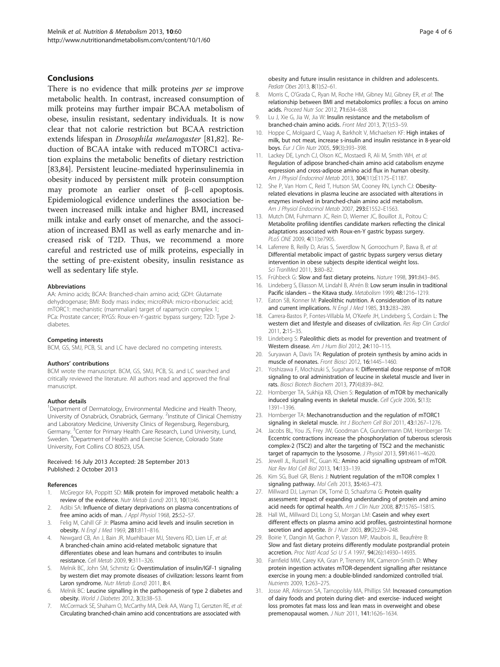#### <span id="page-3-0"></span>Conclusions

There is no evidence that milk proteins *per se* improve metabolic health. In contrast, increased consumption of milk proteins may further impair BCAA metabolism of obese, insulin resistant, sedentary individuals. It is now clear that not calorie restriction but BCAA restriction extends lifespan in Drosophila melanogaster [[81,82\]](#page-5-0). Reduction of BCAA intake with reduced mTORC1 activation explains the metabolic benefits of dietary restriction [[83,84\]](#page-5-0). Persistent leucine-mediated hyperinsulinemia in obesity induced by persistent milk protein consumption may promote an earlier onset of β-cell apoptosis. Epidemiological evidence underlines the association between increased milk intake and higher BMI, increased milk intake and early onset of menarche, and the association of increased BMI as well as early menarche and increased risk of T2D. Thus, we recommend a more careful and restricted use of milk proteins, especially in the setting of pre-existent obesity, insulin resistance as well as sedentary life style.

#### Abbreviations

AA: Amino acids; BCAA: Branched-chain amino acid; GDH: Glutamate dehydrogenase; BMI: Body mass index; microRNA: micro-ribonucleic acid; mTORC1: mechanistic (mammalian) target of rapamycin complex 1; PCa: Prostate cancer; RYGS: Roux-en-Y-gastric bypass surgery; T2D: Type 2 diabetes.

#### Competing interests

BCM, GS, SMJ, PCB, SL and LC have declared no competing interests.

#### Authors' contributions

BCM wrote the manuscript. BCM, GS, SMJ, PCB, SL and LC searched and critically reviewed the literature. All authors read and approved the final manuscript.

#### Author details

<sup>1</sup>Department of Dermatology, Environmental Medicine and Health Theory, University of Osnabrück, Osnabrück, Germany. <sup>2</sup>Institute of Clinical Chemistry and Laboratory Medicine, University Clinics of Regensburg, Regensburg, Germany. <sup>3</sup>Center for Primary Health Care Research, Lund University, Lund, Sweden. <sup>4</sup>Department of Health and Exercise Science, Colorado State University, Fort Collins CO 80523, USA.

#### Received: 16 July 2013 Accepted: 28 September 2013 Published: 2 October 2013

#### References

- McGregor RA, Poppitt SD: Milk protein for improved metabolic health: a review of the evidence. Nutr Metab (Lond) 2013, 10(1):46.
- 2. Adibi SA: Influence of dietary deprivations on plasma concentrations of free amino acids of man. J Appl Physiol 1968, 25:52-57.
- 3. Felig M, Cahill GF Jr: Plasma amino acid levels and insulin secretion in obesity. N Engl J Med 1969, 281:811–816.
- Newgard CB, An J, Bain JR, Muehlbauer MJ, Stevens RD, Lien LF, et al: A branched-chain amino acid-related metabolic signature that differentiates obese and lean humans and contributes to insulin resistance. Cell Metab 2009, 9:311–326.
- Melnik BC, John SM, Schmitz G: Overstimulation of insulin/IGF-1 signaling by western diet may promote diseases of civilization: lessons learnt from Laron syndrome. Nutr Metab (Lond) 2011, 8:4.
- Melnik BC: Leucine signalling in the pathogenesis of type 2 diabetes and obesity. World J Diabetes 2012, 3(3):38–53.
- 7. McCormack SE, Shaham O, McCarthy MA, Deik AA, Wang TJ, Gerszten RE, et al: Circulating branched-chain amino acid concentrations are associated with

obesity and future insulin resistance in children and adolescents. Pediatr Obes 2013, 8(1):52–61.

- 8. Morris C, O'Grada C, Ryan M, Roche HM, Gibney MJ, Gibney ER, et al: The relationship between BMI and metabolomics profiles: a focus on amino acids. Proceed Nutr Soc 2012, 71:634–638.
- Lu J, Xie G, Jia W, Jia W: Insulin resistance and the metabolism of branched-chain amino acids. Front Med 2013, 7(1):53–59.
- 10. Hoppe C, Molgaard C, Vaag A, Barkholt V, Michaelsen KF: High intakes of milk, but not meat, increase s-insulin and insulin resistance in 8-year-old boys. Eur J Clin Nutr 2005, 59(3):393–398.
- 11. Lackey DE, Lynch CJ, Olson KC, Mostaedi R, Ali M, Smith WH, et al: Regulation of adipose branched-chain amino acid catabolism enzyme expression and cross-adipose amino acid flux in human obesity. Am J Physiol Endocrinol Metab 2013, 304(11):E1175–E1187.
- 12. She P, Van Horn C, Reid T, Hutson SM, Cooney RN, Lynch CJ: Obesityrelated elevations in plasma leucine are associated with alterations in enzymes involved in branched-chain amino acid metabolism. Am J Physiol Endocrinol Metab 2007, 293:E1552-E1563.
- 13. Mutch DM, Fuhrmann JC, Rein D, Wiemer JC, Bouillot JL, Poitou C: Metabolite profiling identifies candidate markers reflecting the clinical adaptations associated with Roux-en-Y gastric bypass surgery. PLoS ONE 2009, 4(11):e7905.
- 14. Laferrere B, Reilly D, Arias S, Swerdlow N, Gorroochurn P, Bawa B, et al: Differential metabolic impact of gastric bypass surgery versus dietary intervention in obese subjects despite identical weight loss. Sci TranlMed 2011, 3:80-82.
- 15. Frühbeck G: Slow and fast dietary proteins. Nature 1998, 391:843-845.
- 16. Lindeberg S, Eliasson M, Lindahl B, Ahrén B: Low serum insulin in traditional Pacific islanders – the Kitava study. Metabolism 1999, 48:1216-1219.
- 17. Eaton SB, Konner M: Paleolithic nutrition. A consideration of its nature and current implications. N Engl J Med 1985, 313:283-289.
- 18. Carrera-Bastos P, Fontes-Villabla M, O'Keefe JH, Lindeberg S, Cordain L: The western diet and lifestyle and diseases of civilization. Res Rep Clin Cardiol 2011, 2:15–35.
- 19. Lindeberg S: Paleolithic diets as model for prevention and treatment of Western disease. Am J Hum Biol 2012, 24:110-115.
- 20. Suryawan A, Davis TA: Regulation of protein synthesis by amino acids in muscle of neonates. Front Biosci 2012, 16:1445–1460.
- 21. Yoshizawa F, Mochizuki S, Sugahara K: Differential dose response of mTOR signaling to oral administration of leucine in skeletal muscle and liver in rats. Biosci Biotech Biochem 2013, 77(4):839–842.
- 22. Hornberger TA, Sukhija KB, Chien S: Regulation of mTOR by mechanically induced signaling events in skeletal muscle. Cell Cycle 2006, 5(13): 1391–1396.
- 23. Hornberger TA: Mechanotransduction and the regulation of mTORC1 signaling in skeletal muscle. Int J Biochem Cell Biol 2011, 43:1267-1276.
- 24. Jacobs BL, You JS, Frey JW, Goodman CA, Gundermann DM, Hornberger TA: Eccentric contractions increase the phosphorylation of tuberous sclerosis complex-2 (TSC2) and alter the targeting of TSC2 and the mechanistic target of rapamycin to the lysosome. J Physiol 2013, 591:4611-4620
- 25. Jewell JL, Russell RC, Guan KL: Amino acid signalling upstream of mTOR. Nat Rev Mol Cell Biol 2013, 14:133–139.
- 26. Kim SG, Buel GR, Blenis J: Nutrient regulation of the mTOR complex 1 signaling pathway. Mol Cells 2013, 35:463-473.
- 27. Millward DJ, Layman DK, Tomé D, Schaafsma G: Protein quality assessment: impact of expanding understanding of protein and amino acid needs for optimal health. Am J Clin Nutr 2008, 87:1576S-1581S.
- 28. Hall WL, Millward DJ, Long SJ, Morgan LM: Casein and whey exert different effects on plasma amino acid profiles, gastrointestinal hormone secretion and appetite. Br J Nutr 2003, 89(2):239-248.
- 29. Boirie Y, Dangin M, Gachon P, Vasson MP, Maubois JL, Beaufrère B: Slow and fast dietary proteins differently modulate postprandial protein accretion. Proc Natl Acad Sci U S A 1997, 94(26):14930–14935.
- 30. Farnfield MM, Carey KA, Gran P, Trenerry MK, Cameron-Smith D: Whey protein ingestion activates mTOR-dependent signalling after resistance exercise in young men: a double-blinded randomized controlled trial. Nutrients 2009, 1:263–275.
- 31. Josse AR, Atkinson SA, Tarnopolsky MA, Phillips SM: Increased consumption of dairy foods and protein during diet- and exercise- induced weight loss promotes fat mass loss and lean mass in overweight and obese premenopausal women. J Nutr 2011, 141:1626–1634.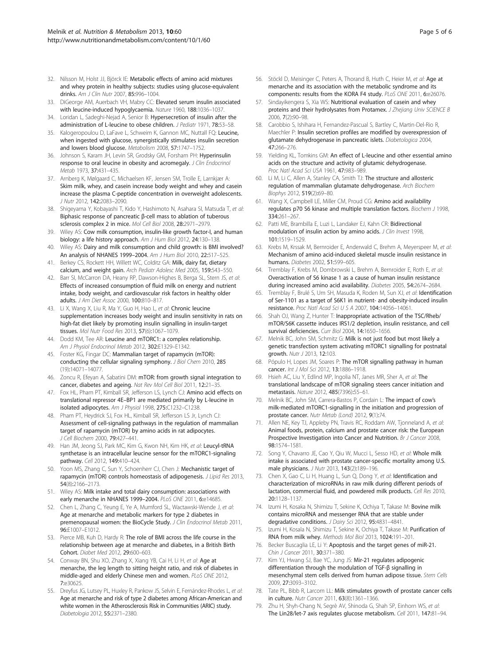- <span id="page-4-0"></span>32. Nilsson M, Holst JJ, Björck IE: Metabolic effects of amino acid mixtures and whey protein in healthy subjects: studies using glucose-equivalent drinks. Am J Clin Nutr 2007, 85:996–1004.
- 33. DiGeorge AM, Auerbach VH, Mabry CC: Elevated serum insulin associated with leucine-induced hypoglycaemia. Nature 1960, 188:1036–1037.
- 34. Loridan L, Sadeghi-Nejad A, Senior B: Hypersecretion of insulin after the administration of L-leucine to obese children. J Pediatr 1971, 78:53–58.
- 35. Kalogeropoulou D, LaFave L, Schweim K, Gannon MC, Nuttall FQ: Leucine, when ingested with glucose, synergistically stimulates insulin secretion and lowers blood glucose. Metabolism 2008, 57:1747–1752.
- 36. Johnson S, Karam JH, Levin SR, Grodsky GM, Forsham PH: Hyperinsulin response to oral leucine in obesity and acromegaly. J Clin Endocrinol Metab 1973, 37:431–435.
- 37. Arnberg K, Mølgaard C, Michaelsen KF, Jensen SM, Trolle E, Larnkjær A: Skim milk, whey, and casein increase body weight and whey and casein increase the plasma C-peptide concentration in overweight adolescents. J Nutr 2012, 142:2083–2090.
- 38. Shigeyama Y, Kobayashi T, Kido Y, Hashimoto N, Asahara SI, Matsuda T, et al: Biphasic response of pancreatic β-cell mass to ablation of tuberous sclerosis complex 2 in mice. Mol Cell Biol 2008, 28:2971–2979.
- 39. Wiley AS: Cow milk consumption, insulin-like growth factor-I, and human biology: a life history approach. Am J Hum Biol 2012, 24:130-138.
- 40. Wiley AS: Dairy and milk consumption and child growth: is BMI involved? An analysis of NHANES 1999–2004. Am J Hum Biol 2010, 22:517–525.
- 41. Berkey CS, Rockett HH, Willett WC, Colditz GA: Milk, dairy fat, dietary calcium, and weight gain. Arch Pediatr Adolesc Med 2005, 159:543–550.
- 42. Barr SI, McCarron DA, Heany RP, Dawson-Highes B, Berga SL, Stern JS, et al: Effects of increased consumption of fluid milk on energy and nutrient intake, body weight, and cardiovascular risk factors in healthy older adults. J Am Diet Assoc 2000, 100:810–817.
- 43. Li X, Wang X, Liu R, Ma Y, Guo H, Hao L, et al: Chronic leucine supplementation increases body weight and insulin sensitivity in rats on high-fat diet likely by promoting insulin signalling in insulin-target tissues. Mol Nutr Food Res 2013, 57(6):1067–1079.
- 44. Dodd KM, Tee AR: Leucine and mTORC1: a complex relationship. Am J Physiol Endocrinol Metab 2012, 302:E1329–E1342.
- 45. Foster KG, Fingar DC: Mammalian target of rapamycin (mTOR): conducting the cellular signaling symphony. J Biol Chem 2010, 285 (19):14071–14077.
- 46. Zoncu R, Efeyan A, Sabatini DM: mTOR: from growth signal integration to cancer, diabetes and ageing. Nat Rev Mol Cell Biol 2011, 12:21–35.
- 47. Fox HL, Pham PT, Kimball SR, Jefferson LS, Lynch CJ: Amino acid effects on translational repressor 4E–BP1 are mediated primarily by L-leucine in isolated adipocytes. Am J Physiol 1998, 275:C1232–C1238.
- 48. Pham PT, Heydrick SJ, Fox HL, Kimball SR, Jefferson LS Jr, Lynch CJ: Assessment of cell-signaling pathways in the regulation of mammalian target of rapamycin (mTOR) by amino acids in rat adipocytes. J Cell Biochem 2000, 79:427–441.
- 49. Han JM, Jeong SJ, Park MC, Kim G, Kwon NH, Kim HK, et al: Leucyl-tRNA synthetase is an intracellular leucine sensor for the mTORC1-signaling pathway. Cell 2012, 149:410–424.
- 50. Yoon MS, Zhang C, Sun Y, Schoenherr CJ, Chen J: Mechanistic target of rapamycin (mTOR) controls homeostasis of adipogenesis. J Lipid Res 2013, 54(8):2166–2173.
- 51. Wiley AS: Milk intake and total dairy consumption: associations with early menarche in NHANES 1999-2004. PLoS ONE 2011, 6:e14685.
- 52. Chen L, Zhang C, Yeung E, Ye A, Mumford SL, Wactawski-Wende J, et al: Age at menarche and metabolic markers for type 2 diabetes in premenopausal women: the BioCycle Study. J Clin Endocrinol Metab 2011, 96:E1007–E1012.
- 53. Pierce MB, Kuh D, Hardy R: The role of BMI across the life course in the relationship between age at menarche and diabetes, in a British Birth Cohort. Diabet Med 2012, 29:600–603.
- 54. Conway BN, Shu XO, Zhang X, Xiang YB, Cai H, Li H, et al: Age at menarche, the leg length to sitting height ratio, and risk of diabetes in middle-aged and elderly Chinese men and women. PLoS ONE 2012, 7:e30625.
- 55. Dreyfus JG, Lutsey PL, Huxley R, Pankow JS, Selvin E, Fernández-Rhodes L, et al: Age at menarche and risk of type 2 diabetes among African-American and white women in the Atherosclerosis Risk in Communities (ARIC) study. Diabetologia 2012, 55:2371–2380.
- 56. Stöckl D, Meisinger C, Peters A, Thorand B, Huth C, Heier M, et al: Age at menarche and its association with the metabolic syndrome and its components: results from the KORA F4 study. PLoS ONE 2011, 6:e26076.
- 57. Sindavikengera S, Xia WS: Nutritional evaluation of casein and whey proteins and their hydrolysates from Protamex. J Zhejiang Univ SCIENCE B 2006, 7(2):90–98.
- 58. Carobbio S, Ishihara H, Fernandez-Pascual S, Bartley C, Martin-Del-Rio R, Maechler P: Insulin secretion profiles are modified by overexpression of glutamate dehydrogenase in pancreatic islets. Diabetologica 2004, 47:266–276.
- 59. Yielding KL, Tomkins GM: An effect of L-leucine and other essential amino acids on the structure and activity of glutamic dehydrogenase. Proc Natl Acad Sci USA 1961, 47:983–989.
- 60. Li M, Li C, Allen A, Stanley CA, Smith TJ: The structure and allosteric regulation of mammalian glutamate dehydrogenase. Arch Biochem Biophys 2012, 519(2):69–80.
- 61. Wang X, Campbell LE, Miller CM, Proud CG: Amino acid availability regulates p70 S6 kinase and multiple translation factors. Biochem J 1998, 334:261–267.
- 62. Patti ME, Brambilla E, Luzi L, Landaker EJ, Kahn CR: Bidirectional modulation of insulin action by amino acids. J Clin Invest 1998, 101:1519–1529.
- 63. Krebs M, Krssak M, Bernroider E, Anderwald C, Brehm A, Meyerspeer M, et al: Mechanism of amino acid-induced skeletal muscle insulin resistance in humans. Diabetes 2002, 51:599–605.
- 64. Tremblay F, Krebs M, Dombrowski L, Brehm A, Bernroider E, Roth E, et al: Overactivation of S6 kinase 1 as a cause of human insulin resistance during increased amino acid availability. Diabetes 2005, 54:2674–2684.
- Tremblay F, Brulé S, Um SH, Masuda K, Roden M, Sun XJ, et al: Identification of Ser-1101 as a target of S6K1 in nutrient- and obesity-induced insulin resistance. Proc Natl Acad Sci U S A 2007, 104:14056–14061.
- 66. Shah OJ, Wang Z, Hunter T: Inappropriate activation of the TSC/Rheb/ mTOR/S6K cassette induces IRS1/2 depletion, insulin resistance, and cell survival deficiencies. Curr Biol 2004, 14:1650-1656.
- 67. Melnik BC, John SM, Schmitz G: Milk is not just food but most likely a genetic transfection system activating mTORC1 signalling for postnatal growth. Nutr J 2013, 12:103.
- 68. Pópulo H, Lopes JM, Soares P: The mTOR signalling pathway in human cancer. Int J Mol Sci 2012, 13:1886-1918.
- 69. Hsieh AC, Liu Y, Edlind MP, Ingolia NT, Janes MR, Sher A, et al: The translational landscape of mTOR signaling steers cancer initiation and metastasis. Nature 2012, 485(7396):55–61.
- 70. Melnik BC, John SM, Carrera-Bastos P, Cordain L: The impact of cow's milk-mediated mTORC1-signalling in the initiation and progression of prostate cancer. Nutr Metab (Lond) 2012, 9(1):74.
- 71. Allen NE, Key TJ, Appleby PN, Travis RC, Roddam AW, Tjonneland A, et al: Animal foods, protein, calcium and prostate cancer risk: the European Prospective Investigation into Cancer and Nutrition. Br J Cancer 2008, 98:1574–1581.
- 72. Song Y, Chavarro JE, Cao Y, Qiu W, Mucci L, Sesso HD, et al: Whole milk intake is associated with prostate cancer-specific mortality among U.S. male physicians. J Nutr 2013, 143(2):189–196.
- 73. Chen X, Gao C, Li H, Huang L, Sun Q, Dong Y, et al: Identification and characterization of microRNAs in raw milk during different periods of lactation, commercial fluid, and powdered milk products. Cell Res 2010, 20:1128–1137.
- 74. Izumi H, Kosaka N, Shimizu T, Sekine K, Ochiya T, Takase M: Bovine milk contains microRNA and messenger RNA that are stable under degradative conditions. J Dairy Sci 2012, 95:4831-4841.
- 75. Izumi H, Kosala N, Shimizu T, Sekine K, Ochiya T, Takase M: Purification of RNA from milk whey. Methods Mol Biol 2013, 1024:191–201.
- 76. Becker Buscaglia LE, Li Y: Apoptosis and the target genes of miR-21. Chin J Cancer 2011, 30:371–380.
- 77. Kim YJ, Hwang SJ, Bae YC, Jung JS: Mir-21 regulates adipogenic differentiation through the modulation of TGF-β signalling in mesenchymal stem cells derived from human adipose tissue. Stem Cells 2009, 27:3093–3102.
- Tate PL, Bibb R, Larcom LL: Milk stimulates growth of prostate cancer cells in culture. Nutr Cancer 2011, 63(8):1361–1366.
- 79. Zhu H, Shyh-Chang N, Segrè AV, Shinoda G, Shah SP, Einhorn WS, et al: The Lin28/let-7 axis regulates glucose metabolism. Cell 2011, 147:81–94.